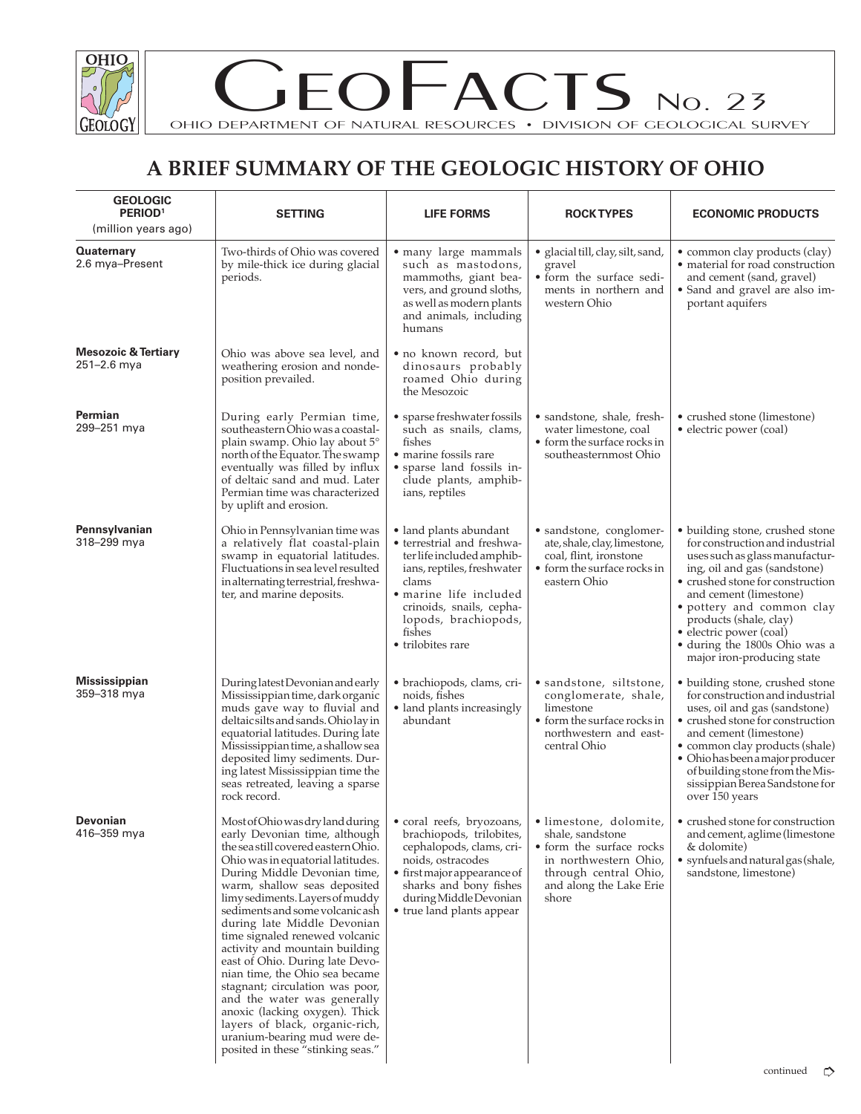

 $EOFACTS$  No. 23

OHIO DEPARTMENT OF NATURAL RESOURCES • DIVISION OF GEOLOGICAL SURVEY

## **A BRIEF SUMMARY OF THE GEOLOGIC HISTORY OF OHIO**

| <b>GEOLOGIC</b><br>PERIOD <sup>1</sup><br>(million years ago) | <b>SETTING</b>                                                                                                                                                                                                                                                                                                                                                                                                                                                                                                                                                                                                                                                                                     | <b>LIFE FORMS</b>                                                                                                                                                                                                                     | <b>ROCK TYPES</b>                                                                                                                                            | <b>ECONOMIC PRODUCTS</b>                                                                                                                                                                                                                                                                                                                            |
|---------------------------------------------------------------|----------------------------------------------------------------------------------------------------------------------------------------------------------------------------------------------------------------------------------------------------------------------------------------------------------------------------------------------------------------------------------------------------------------------------------------------------------------------------------------------------------------------------------------------------------------------------------------------------------------------------------------------------------------------------------------------------|---------------------------------------------------------------------------------------------------------------------------------------------------------------------------------------------------------------------------------------|--------------------------------------------------------------------------------------------------------------------------------------------------------------|-----------------------------------------------------------------------------------------------------------------------------------------------------------------------------------------------------------------------------------------------------------------------------------------------------------------------------------------------------|
| <b>Quaternary</b><br>2.6 mya-Present                          | Two-thirds of Ohio was covered<br>by mile-thick ice during glacial<br>periods.                                                                                                                                                                                                                                                                                                                                                                                                                                                                                                                                                                                                                     | • many large mammals<br>such as mastodons,<br>mammoths, giant bea-<br>vers, and ground sloths,<br>as well as modern plants<br>and animals, including<br>humans                                                                        | • glacial till, clay, silt, sand,<br>gravel<br>• form the surface sedi-<br>ments in northern and<br>western Ohio                                             | • common clay products (clay)<br>· material for road construction<br>and cement (sand, gravel)<br>• Sand and gravel are also im-<br>portant aquifers                                                                                                                                                                                                |
| <b>Mesozoic &amp; Tertiary</b><br>251-2.6 mya                 | Ohio was above sea level, and<br>weathering erosion and nonde-<br>position prevailed.                                                                                                                                                                                                                                                                                                                                                                                                                                                                                                                                                                                                              | • no known record, but<br>dinosaurs probably<br>roamed Ohio during<br>the Mesozoic                                                                                                                                                    |                                                                                                                                                              |                                                                                                                                                                                                                                                                                                                                                     |
| Permian<br>299-251 mya                                        | During early Permian time,<br>southeastern Ohio was a coastal-<br>plain swamp. Ohio lay about 5°<br>north of the Equator. The swamp<br>eventually was filled by influx<br>of deltaic sand and mud. Later<br>Permian time was characterized<br>by uplift and erosion.                                                                                                                                                                                                                                                                                                                                                                                                                               | • sparse freshwater fossils<br>such as snails, clams,<br>fishes<br>• marine fossils rare<br>• sparse land fossils in-<br>clude plants, amphib-<br>ians, reptiles                                                                      | • sandstone, shale, fresh-<br>water limestone, coal<br>• form the surface rocks in<br>southeasternmost Ohio                                                  | • crushed stone (limestone)<br>• electric power (coal)                                                                                                                                                                                                                                                                                              |
| Pennsylvanian<br>318-299 mya                                  | Ohio in Pennsylvanian time was<br>a relatively flat coastal-plain<br>swamp in equatorial latitudes.<br>Fluctuations in sea level resulted<br>in alternating terrestrial, freshwa-<br>ter, and marine deposits.                                                                                                                                                                                                                                                                                                                                                                                                                                                                                     | • land plants abundant<br>• terrestrial and freshwa-<br>ter life included amphib-<br>ians, reptiles, freshwater<br>clams<br>• marine life included<br>crinoids, snails, cepha-<br>lopods, brachiopods,<br>fishes<br>• trilobites rare | • sandstone, conglomer-<br>ate, shale, clay, limestone,<br>coal, flint, ironstone<br>• form the surface rocks in<br>eastern Ohio                             | • building stone, crushed stone<br>for construction and industrial<br>uses such as glass manufactur-<br>ing, oil and gas (sandstone)<br>• crushed stone for construction<br>and cement (limestone)<br>• pottery and common clay<br>products (shale, clay)<br>• electric power (coal)<br>· during the 1800s Ohio was a<br>major iron-producing state |
| <b>Mississippian</b><br>359-318 mya                           | During latest Devonian and early<br>Mississippian time, dark organic<br>muds gave way to fluvial and<br>deltaic silts and sands. Ohio lay in<br>equatorial latitudes. During late<br>Mississippian time, a shallow sea<br>deposited limy sediments. Dur-<br>ing latest Mississippian time the<br>seas retreated, leaving a sparse<br>rock record.                                                                                                                                                                                                                                                                                                                                                  | • brachiopods, clams, cri-<br>noids, fishes<br>• land plants increasingly<br>abundant                                                                                                                                                 | · sandstone, siltstone,<br>conglomerate, shale,<br>limestone<br>• form the surface rocks in<br>northwestern and east-<br>central Ohio                        | • building stone, crushed stone<br>for construction and industrial<br>uses, oil and gas (sandstone)<br>• crushed stone for construction<br>and cement (limestone)<br>· common clay products (shale)<br>• Ohio has been a major producer<br>of building stone from the Mis-<br>sissippian Berea Sandstone for<br>over 150 years                      |
| <b>Devonian</b><br>416-359 mya                                | Most of Ohio was dry land during   • coral reefs, bryozoans,<br>early Devonian time, although<br>the sea still covered eastern Ohio.<br>Ohio was in equatorial latitudes.<br>During Middle Devonian time,<br>warm, shallow seas deposited<br>limy sediments. Layers of muddy<br>sediments and some volcanic ash<br>during late Middle Devonian<br>time signaled renewed volcanic<br>activity and mountain building<br>east of Ohio. During late Devo-<br>nian time, the Ohio sea became<br>stagnant; circulation was poor,<br>and the water was generally<br>anoxic (lacking oxygen). Thick<br>layers of black, organic-rich,<br>uranium-bearing mud were de-<br>posited in these "stinking seas." | brachiopods, trilobites,<br>cephalopods, clams, cri-<br>noids, ostracodes<br>• first major appearance of<br>sharks and bony fishes<br>during Middle Devonian<br>• true land plants appear                                             | · limestone, dolomite,<br>shale, sandstone<br>• form the surface rocks<br>in northwestern Ohio,<br>through central Ohio,<br>and along the Lake Erie<br>shore | • crushed stone for construction<br>and cement, aglime (limestone<br>& dolomite)<br>• synfuels and natural gas (shale,<br>sandstone, limestone)<br>continued                                                                                                                                                                                        |